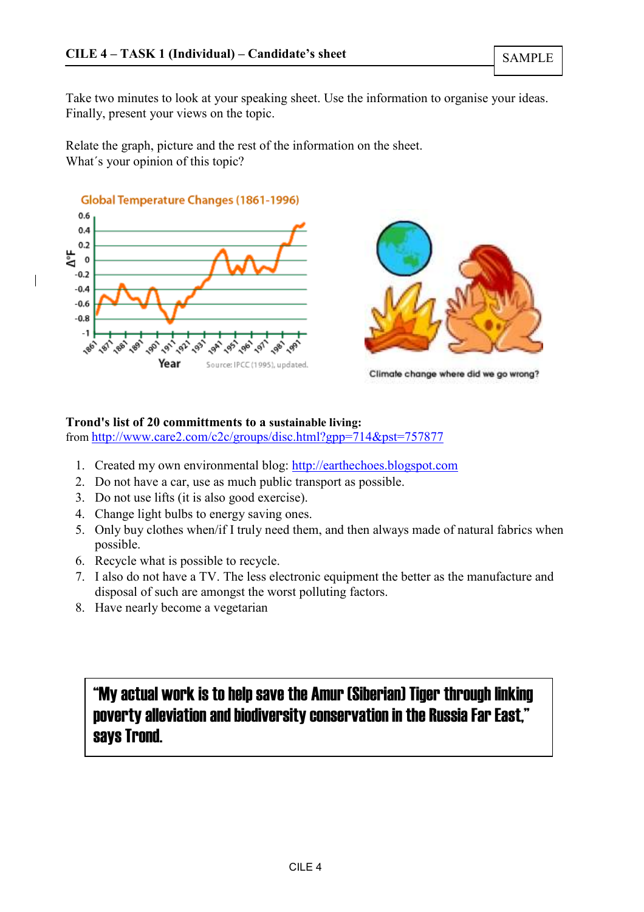Take two minutes to look at your speaking sheet. Use the information to organise your ideas. Finally, present your views on the topic.

Relate the graph, picture and the rest of the information on the sheet. What's your opinion of this topic?





Climate change where did we go wrong?

## Trond's list of 20 committments to a sustainable living:

from http://www.care2.com/c2c/groups/disc.html?gpp=714&pst=757877

- 1. Created my own environmental blog: http://earthechoes.blogspot.com
- 2. Do not have a car, use as much public transport as possible.
- 3. Do not use lifts (it is also good exercise).
- 4. Change light bulbs to energy saving ones.
- 5. Only buy clothes when/if I truly need them, and then always made of natural fabrics when possible.
- 6. Recycle what is possible to recycle.
- 7. I also do not have a TV. The less electronic equipment the better as the manufacture and disposal of such are amongst the worst polluting factors.
- 8. Have nearly become a vegetarian

# "My actual work is to help save the Amur (Siberian) Tiger through linking poverty alleviation and biodiversity conservation in the Russia Far East," says Trond.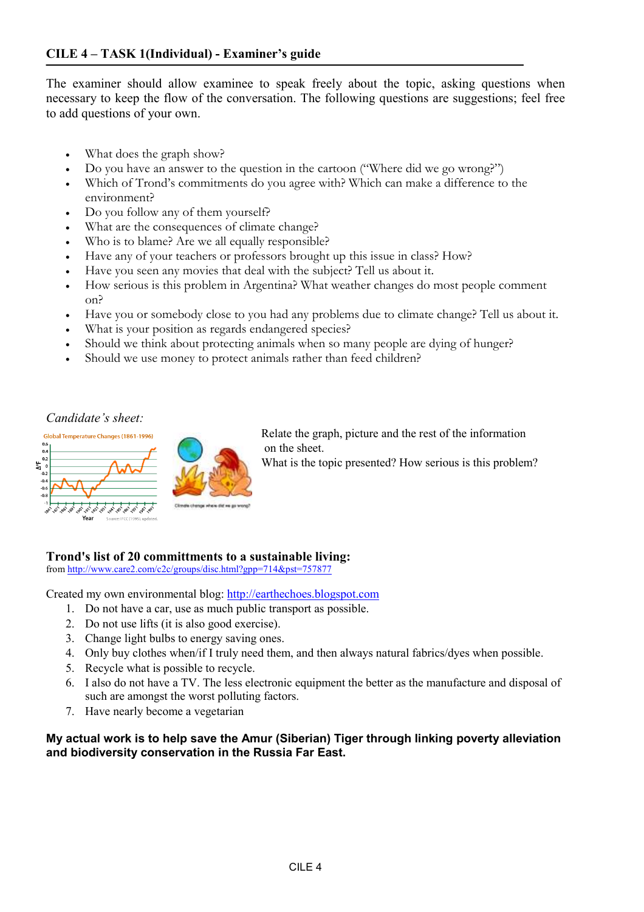The examiner should allow examinee to speak freely about the topic, asking questions when necessary to keep the flow of the conversation. The following questions are suggestions; feel free to add questions of your own.

- What does the graph show?
- Do you have an answer to the question in the cartoon ("Where did we go wrong?")
- Which of Trond's commitments do you agree with? Which can make a difference to the environment?
- Do you follow any of them yourself?
- What are the consequences of climate change?
- Who is to blame? Are we all equally responsible?
- Have any of your teachers or professors brought up this issue in class? How?
- Have you seen any movies that deal with the subject? Tell us about it.
- How serious is this problem in Argentina? What weather changes do most people comment on?
- Have you or somebody close to you had any problems due to climate change? Tell us about it.
- What is your position as regards endangered species?
- Should we think about protecting animals when so many people are dying of hunger?
- Should we use money to protect animals rather than feed children?

## Candidate's sheet:





Relate the graph, picture and the rest of the information on the sheet.

What is the topic presented? How serious is this problem?

### Trond's list of 20 committments to a sustainable living:

from http://www.care2.com/c2c/groups/disc.html?gpp=714&pst=757877

Created my own environmental blog: http://earthechoes.blogspot.com

- 1. Do not have a car, use as much public transport as possible.
- 2. Do not use lifts (it is also good exercise).
- 3. Change light bulbs to energy saving ones.
- 4. Only buy clothes when/if I truly need them, and then always natural fabrics/dyes when possible.
- 5. Recycle what is possible to recycle.
- 6. I also do not have a TV. The less electronic equipment the better as the manufacture and disposal of such are amongst the worst polluting factors.
- 7. Have nearly become a vegetarian

#### My actual work is to help save the Amur (Siberian) Tiger through linking poverty alleviation and biodiversity conservation in the Russia Far East.